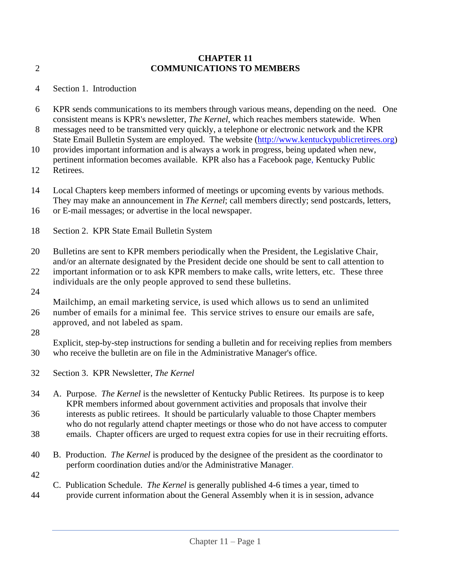## **CHAPTER 11** 2 **COMMUNICATIONS TO MEMBERS**

- 4 Section 1. Introduction
- 6 KPR sends communications to its members through various means, depending on the need. One consistent means is KPR's newsletter, *The Kernel*, which reaches members statewide. When
- 8 messages need to be transmitted very quickly, a telephone or electronic network and the KPR State Email Bulletin System are employed. The website [\(http://www.kentuckypublicretirees.org\)](http://www.kentuckypublicretirees.org/)
- 10 provides important information and is always a work in progress, being updated when new, pertinent information becomes available. KPR also has a Facebook page, Kentucky Public
- 12 Retirees.
- 14 Local Chapters keep members informed of meetings or upcoming events by various methods. They may make an announcement in *The Kernel*; call members directly; send postcards, letters,
- 16 or E-mail messages; or advertise in the local newspaper.
- 18 Section 2. KPR State Email Bulletin System
- 20 Bulletins are sent to KPR members periodically when the President, the Legislative Chair, and/or an alternate designated by the President decide one should be sent to call attention to
- 22 important information or to ask KPR members to make calls, write letters, etc. These three individuals are the only people approved to send these bulletins.
- 24

Mailchimp, an email marketing service, is used which allows us to send an unlimited 26 number of emails for a minimal fee. This service strives to ensure our emails are safe, approved, and not labeled as spam.

28

Explicit, step-by-step instructions for sending a bulletin and for receiving replies from members 30 who receive the bulletin are on file in the Administrative Manager's office.

- 32 Section 3. KPR Newsletter, *The Kernel*
- 34 A. Purpose. *The Kernel* is the newsletter of Kentucky Public Retirees. Its purpose is to keep KPR members informed about government activities and proposals that involve their 36 interests as public retirees. It should be particularly valuable to those Chapter members
- who do not regularly attend chapter meetings or those who do not have access to computer
- 38 emails. Chapter officers are urged to request extra copies for use in their recruiting efforts.
- 40 B. Production. *The Kernel* is produced by the designee of the president as the coordinator to perform coordination duties and/or the Administrative Manager.
- 42
- C. Publication Schedule. *The Kernel* is generally published 4-6 times a year, timed to 44 provide current information about the General Assembly when it is in session, advance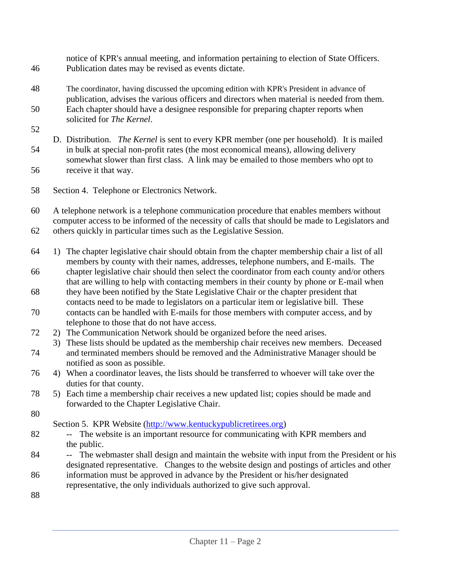notice of KPR's annual meeting, and information pertaining to election of State Officers. 46 Publication dates may be revised as events dictate.

- 48 The coordinator, having discussed the upcoming edition with KPR's President in advance of publication, advises the various officers and directors when material is needed from them. 50 Each chapter should have a designee responsible for preparing chapter reports when solicited for *The Kernel*.
- 52
- D. Distribution. *The Kernel* is sent to every KPR member (one per household). It is mailed 54 in bulk at special non-profit rates (the most economical means), allowing delivery somewhat slower than first class. A link may be emailed to those members who opt to 56 receive it that way.
- 58 Section 4. Telephone or Electronics Network.

60 A telephone network is a telephone communication procedure that enables members without computer access to be informed of the necessity of calls that should be made to Legislators and 62 others quickly in particular times such as the Legislative Session.

- 64 1) The chapter legislative chair should obtain from the chapter membership chair a list of all members by county with their names, addresses, telephone numbers, and E-mails. The
- 66 chapter legislative chair should then select the coordinator from each county and/or others that are willing to help with contacting members in their county by phone or E-mail when
- 68 they have been notified by the State Legislative Chair or the chapter president that contacts need to be made to legislators on a particular item or legislative bill. These
- 70 contacts can be handled with E-mails for those members with computer access, and by telephone to those that do not have access.
- 72 2) The Communication Network should be organized before the need arises.
- 3) These lists should be updated as the membership chair receives new members. Deceased 74 and terminated members should be removed and the Administrative Manager should be notified as soon as possible.
- 76 4) When a coordinator leaves, the lists should be transferred to whoever will take over the duties for that county.
- 78 5) Each time a membership chair receives a new updated list; copies should be made and forwarded to the Chapter Legislative Chair.
- 80

Section 5. KPR Website [\(http://www.kentuckypublicretirees.org\)](http://www.kentuckypublicretirees.org/)

- 82 -- The website is an important resource for communicating with KPR members and the public.
- 84 -- The webmaster shall design and maintain the website with input from the President or his designated representative. Changes to the website design and postings of articles and other
- 86 information must be approved in advance by the President or his/her designated representative, the only individuals authorized to give such approval.
- 88